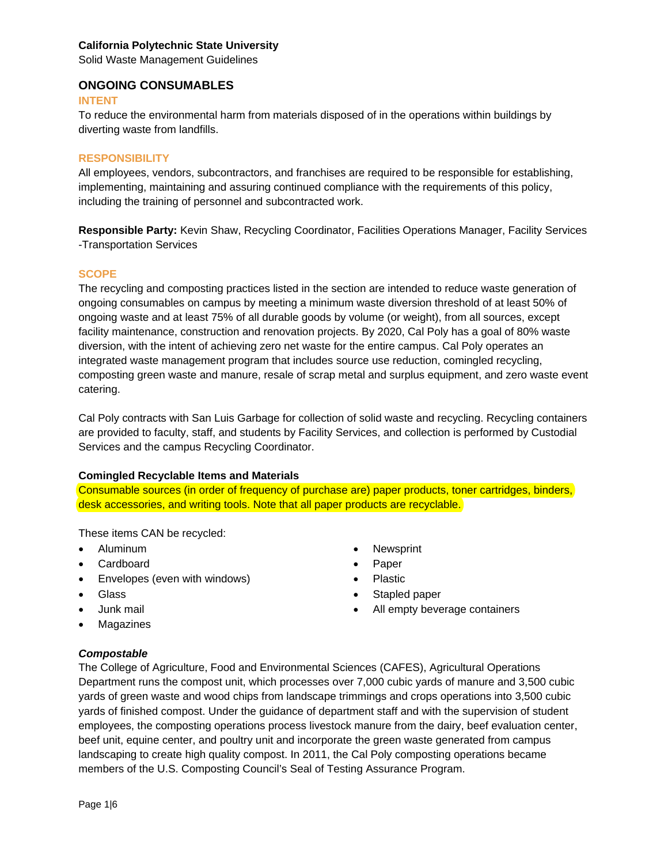Solid Waste Management Guidelines

## **ONGOING CONSUMABLES**

#### **INTENT**

To reduce the environmental harm from materials disposed of in the operations within buildings by diverting waste from landfills.

#### **RESPONSIBILITY**

All employees, vendors, subcontractors, and franchises are required to be responsible for establishing, implementing, maintaining and assuring continued compliance with the requirements of this policy, including the training of personnel and subcontracted work.

**Responsible Party:** Kevin Shaw, Recycling Coordinator, Facilities Operations Manager, Facility Services -Transportation Services

#### **SCOPE**

The recycling and composting practices listed in the section are intended to reduce waste generation of ongoing consumables on campus by meeting a minimum waste diversion threshold of at least 50% of ongoing waste and at least 75% of all durable goods by volume (or weight), from all sources, except facility maintenance, construction and renovation projects. By 2020, Cal Poly has a goal of 80% waste diversion, with the intent of achieving zero net waste for the entire campus. Cal Poly operates an integrated waste management program that includes source use reduction, comingled recycling, composting green waste and manure, resale of scrap metal and surplus equipment, and zero waste event catering.

Cal Poly contracts with San Luis Garbage for collection of solid waste and recycling. Recycling containers are provided to faculty, staff, and students by Facility Services, and collection is performed by Custodial Services and the campus Recycling Coordinator.

#### **Comingled Recyclable Items and Materials**

Consumable sources (in order of frequency of purchase are) paper products, toner cartridges, binders, desk accessories, and writing tools. Note that all paper products are recyclable.

These items CAN be recycled:

- Aluminum
- Cardboard
- Envelopes (even with windows)
- Glass
- Junk mail
- Magazines

# *Compostable*

The College of Agriculture, Food and Environmental Sciences (CAFES), Agricultural Operations Department runs the compost unit, which processes over 7,000 cubic yards of manure and 3,500 cubic yards of green waste and wood chips from landscape trimmings and crops operations into 3,500 cubic yards of finished compost. Under the guidance of department staff and with the supervision of student employees, the composting operations process livestock manure from the dairy, beef evaluation center, beef unit, equine center, and poultry unit and incorporate the green waste generated from campus landscaping to create high quality compost. In 2011, the Cal Poly composting operations became members of the U.S. Composting Council's Seal of Testing Assurance Program.

- Newsprint
- Paper
- Plastic
- Stapled paper
- All empty beverage containers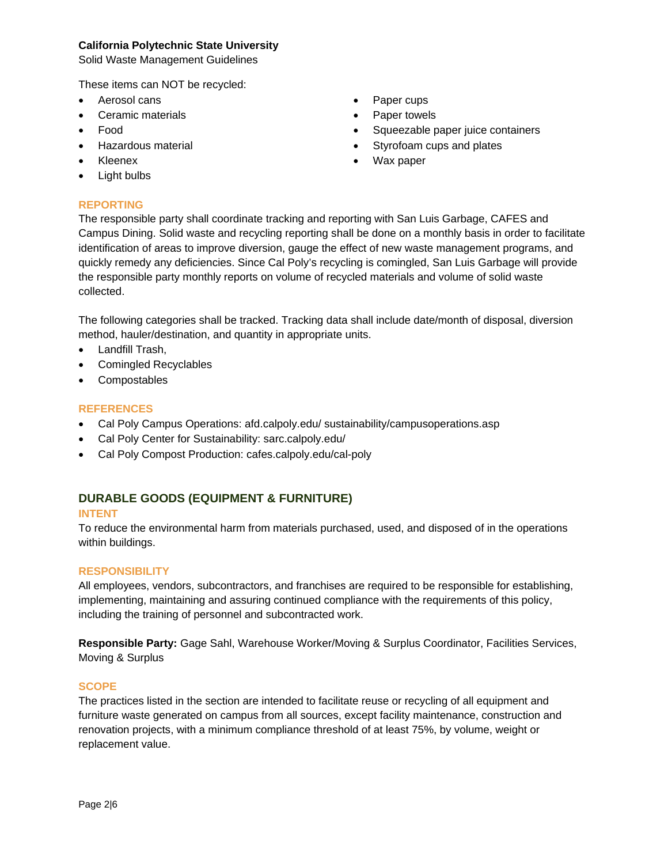Solid Waste Management Guidelines

These items can NOT be recycled:

- Aerosol cans
- Ceramic materials
- Food
- Hazardous material
- Kleenex
- Light bulbs

## **REPORTING**

• Paper cups

- Paper towels
- Squeezable paper juice containers
- Styrofoam cups and plates
- Wax paper

The responsible party shall coordinate tracking and reporting with San Luis Garbage, CAFES and Campus Dining. Solid waste and recycling reporting shall be done on a monthly basis in order to facilitate identification of areas to improve diversion, gauge the effect of new waste management programs, and quickly remedy any deficiencies. Since Cal Poly's recycling is comingled, San Luis Garbage will provide the responsible party monthly reports on volume of recycled materials and volume of solid waste collected.

The following categories shall be tracked. Tracking data shall include date/month of disposal, diversion method, hauler/destination, and quantity in appropriate units.

- Landfill Trash,
- Comingled Recyclables
- Compostables

## **REFERENCES**

- Cal Poly Campus Operations: afd.calpoly.edu/ sustainability/campusoperations.asp
- Cal Poly Center for Sustainability: sarc.calpoly.edu/
- Cal Poly Compost Production: cafes.calpoly.edu/cal-poly

# **DURABLE GOODS (EQUIPMENT & FURNITURE)**

#### **INTENT**

To reduce the environmental harm from materials purchased, used, and disposed of in the operations within buildings.

#### **RESPONSIBILITY**

All employees, vendors, subcontractors, and franchises are required to be responsible for establishing, implementing, maintaining and assuring continued compliance with the requirements of this policy, including the training of personnel and subcontracted work.

**Responsible Party:** Gage Sahl, Warehouse Worker/Moving & Surplus Coordinator, Facilities Services, Moving & Surplus

## **SCOPE**

The practices listed in the section are intended to facilitate reuse or recycling of all equipment and furniture waste generated on campus from all sources, except facility maintenance, construction and renovation projects, with a minimum compliance threshold of at least 75%, by volume, weight or replacement value.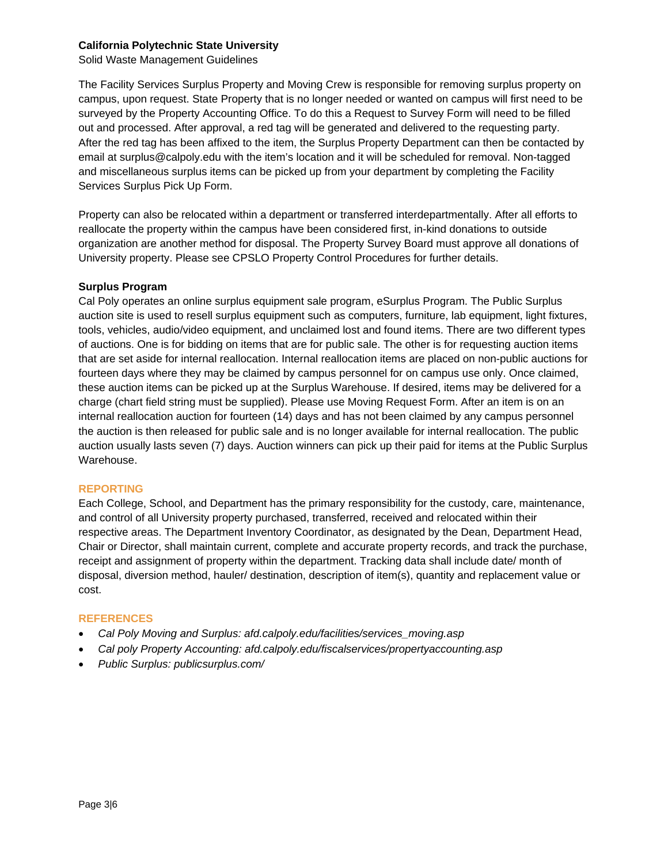Solid Waste Management Guidelines

The Facility Services Surplus Property and Moving Crew is responsible for removing surplus property on campus, upon request. State Property that is no longer needed or wanted on campus will first need to be surveyed by the Property Accounting Office. To do this a Request to Survey Form will need to be filled out and processed. After approval, a red tag will be generated and delivered to the requesting party. After the red tag has been affixed to the item, the Surplus Property Department can then be contacted by email at surplus@calpoly.edu with the item's location and it will be scheduled for removal. Non-tagged and miscellaneous surplus items can be picked up from your department by completing the Facility Services Surplus Pick Up Form.

Property can also be relocated within a department or transferred interdepartmentally. After all efforts to reallocate the property within the campus have been considered first, in-kind donations to outside organization are another method for disposal. The Property Survey Board must approve all donations of University property. Please see CPSLO Property Control Procedures for further details.

## **Surplus Program**

Cal Poly operates an online surplus equipment sale program, eSurplus Program. The Public Surplus auction site is used to resell surplus equipment such as computers, furniture, lab equipment, light fixtures, tools, vehicles, audio/video equipment, and unclaimed lost and found items. There are two different types of auctions. One is for bidding on items that are for public sale. The other is for requesting auction items that are set aside for internal reallocation. Internal reallocation items are placed on non-public auctions for fourteen days where they may be claimed by campus personnel for on campus use only. Once claimed, these auction items can be picked up at the Surplus Warehouse. If desired, items may be delivered for a charge (chart field string must be supplied). Please use Moving Request Form. After an item is on an internal reallocation auction for fourteen (14) days and has not been claimed by any campus personnel the auction is then released for public sale and is no longer available for internal reallocation. The public auction usually lasts seven (7) days. Auction winners can pick up their paid for items at the Public Surplus Warehouse.

#### **REPORTING**

Each College, School, and Department has the primary responsibility for the custody, care, maintenance, and control of all University property purchased, transferred, received and relocated within their respective areas. The Department Inventory Coordinator, as designated by the Dean, Department Head, Chair or Director, shall maintain current, complete and accurate property records, and track the purchase, receipt and assignment of property within the department. Tracking data shall include date/ month of disposal, diversion method, hauler/ destination, description of item(s), quantity and replacement value or cost.

#### **REFERENCES**

- *Cal Poly Moving and Surplus: afd.calpoly.edu/facilities/services\_moving.asp*
- *Cal poly Property Accounting: afd.calpoly.edu/fiscalservices/propertyaccounting.asp*
- *Public Surplus: publicsurplus.com/*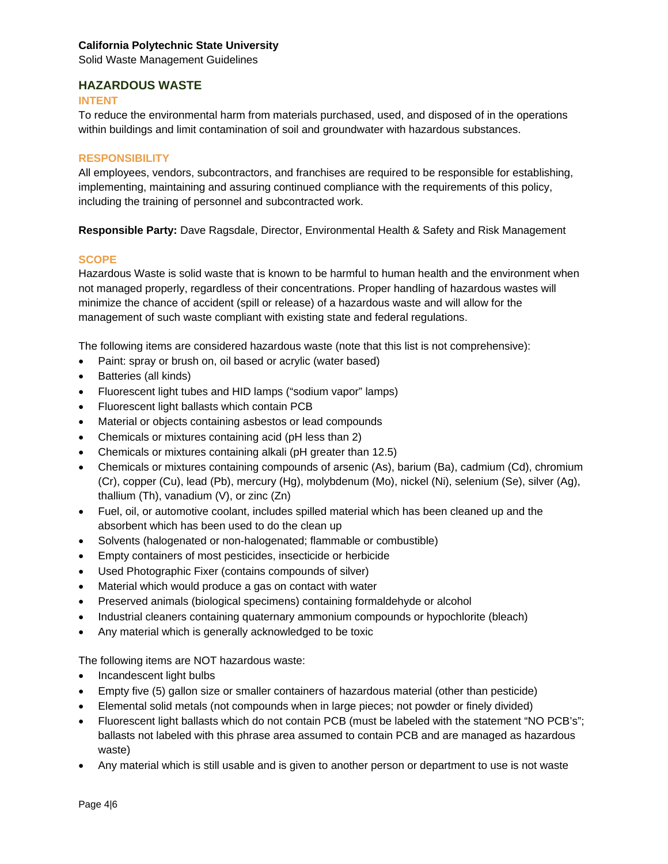Solid Waste Management Guidelines

## **HAZARDOUS WASTE**

#### **INTENT**

To reduce the environmental harm from materials purchased, used, and disposed of in the operations within buildings and limit contamination of soil and groundwater with hazardous substances.

#### **RESPONSIBILITY**

All employees, vendors, subcontractors, and franchises are required to be responsible for establishing, implementing, maintaining and assuring continued compliance with the requirements of this policy, including the training of personnel and subcontracted work.

**Responsible Party:** Dave Ragsdale, Director, Environmental Health & Safety and Risk Management

#### **SCOPE**

Hazardous Waste is solid waste that is known to be harmful to human health and the environment when not managed properly, regardless of their concentrations. Proper handling of hazardous wastes will minimize the chance of accident (spill or release) of a hazardous waste and will allow for the management of such waste compliant with existing state and federal regulations.

The following items are considered hazardous waste (note that this list is not comprehensive):

- Paint: spray or brush on, oil based or acrylic (water based)
- Batteries (all kinds)
- Fluorescent light tubes and HID lamps ("sodium vapor" lamps)
- Fluorescent light ballasts which contain PCB
- Material or objects containing asbestos or lead compounds
- Chemicals or mixtures containing acid (pH less than 2)
- Chemicals or mixtures containing alkali (pH greater than 12.5)
- Chemicals or mixtures containing compounds of arsenic (As), barium (Ba), cadmium (Cd), chromium (Cr), copper (Cu), lead (Pb), mercury (Hg), molybdenum (Mo), nickel (Ni), selenium (Se), silver (Ag), thallium (Th), vanadium (V), or zinc (Zn)
- Fuel, oil, or automotive coolant, includes spilled material which has been cleaned up and the absorbent which has been used to do the clean up
- Solvents (halogenated or non-halogenated; flammable or combustible)
- Empty containers of most pesticides, insecticide or herbicide
- Used Photographic Fixer (contains compounds of silver)
- Material which would produce a gas on contact with water
- Preserved animals (biological specimens) containing formaldehyde or alcohol
- Industrial cleaners containing quaternary ammonium compounds or hypochlorite (bleach)
- Any material which is generally acknowledged to be toxic

The following items are NOT hazardous waste:

- Incandescent light bulbs
- Empty five (5) gallon size or smaller containers of hazardous material (other than pesticide)
- Elemental solid metals (not compounds when in large pieces; not powder or finely divided)
- Fluorescent light ballasts which do not contain PCB (must be labeled with the statement "NO PCB's"; ballasts not labeled with this phrase area assumed to contain PCB and are managed as hazardous waste)
- Any material which is still usable and is given to another person or department to use is not waste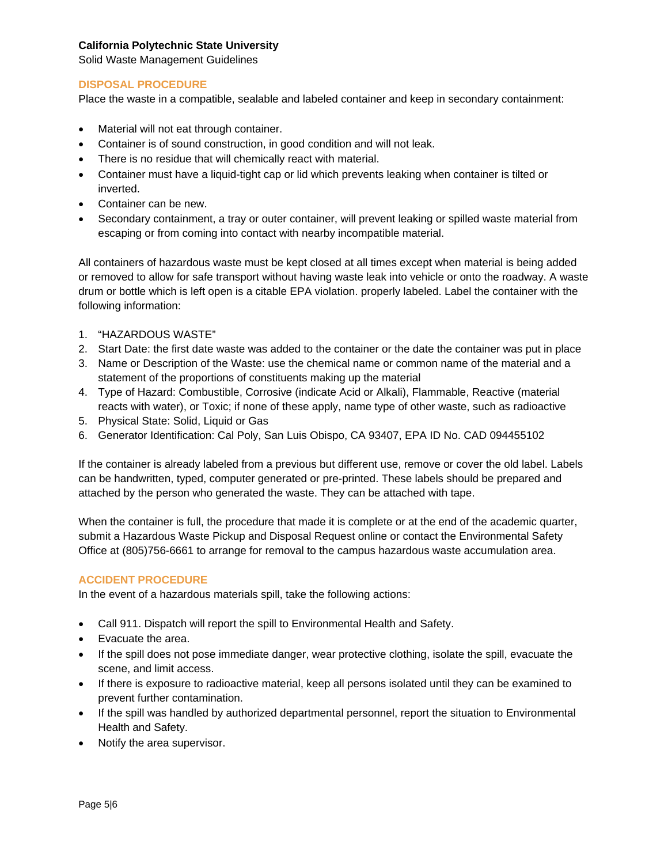Solid Waste Management Guidelines

## **DISPOSAL PROCEDURE**

Place the waste in a compatible, sealable and labeled container and keep in secondary containment:

- Material will not eat through container.
- Container is of sound construction, in good condition and will not leak.
- There is no residue that will chemically react with material.
- Container must have a liquid-tight cap or lid which prevents leaking when container is tilted or inverted.
- Container can be new.
- Secondary containment, a tray or outer container, will prevent leaking or spilled waste material from escaping or from coming into contact with nearby incompatible material.

All containers of hazardous waste must be kept closed at all times except when material is being added or removed to allow for safe transport without having waste leak into vehicle or onto the roadway. A waste drum or bottle which is left open is a citable EPA violation. properly labeled. Label the container with the following information:

- 1. "HAZARDOUS WASTE"
- 2. Start Date: the first date waste was added to the container or the date the container was put in place
- 3. Name or Description of the Waste: use the chemical name or common name of the material and a statement of the proportions of constituents making up the material
- 4. Type of Hazard: Combustible, Corrosive (indicate Acid or Alkali), Flammable, Reactive (material reacts with water), or Toxic; if none of these apply, name type of other waste, such as radioactive
- 5. Physical State: Solid, Liquid or Gas
- 6. Generator Identification: Cal Poly, San Luis Obispo, CA 93407, EPA ID No. CAD 094455102

If the container is already labeled from a previous but different use, remove or cover the old label. Labels can be handwritten, typed, computer generated or pre-printed. These labels should be prepared and attached by the person who generated the waste. They can be attached with tape.

When the container is full, the procedure that made it is complete or at the end of the academic quarter, submit a Hazardous Waste Pickup and Disposal Request online or contact the Environmental Safety Office at (805)756-6661 to arrange for removal to the campus hazardous waste accumulation area.

#### **ACCIDENT PROCEDURE**

In the event of a hazardous materials spill, take the following actions:

- Call 911. Dispatch will report the spill to Environmental Health and Safety.
- Evacuate the area.
- If the spill does not pose immediate danger, wear protective clothing, isolate the spill, evacuate the scene, and limit access.
- If there is exposure to radioactive material, keep all persons isolated until they can be examined to prevent further contamination.
- If the spill was handled by authorized departmental personnel, report the situation to Environmental Health and Safety.
- Notify the area supervisor.